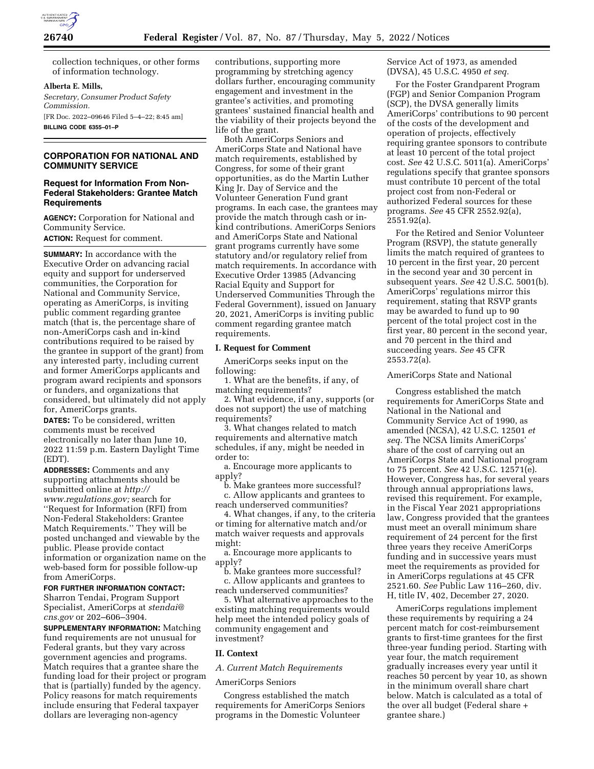

collection techniques, or other forms of information technology.

#### **Alberta E. Mills,**

*Secretary, Consumer Product Safety Commission.*  [FR Doc. 2022–09646 Filed 5–4–22; 8:45 am] **BILLING CODE 6355–01–P** 

# **CORPORATION FOR NATIONAL AND COMMUNITY SERVICE**

## **Request for Information From Non-Federal Stakeholders: Grantee Match Requirements**

**AGENCY:** Corporation for National and Community Service.

**ACTION:** Request for comment.

**SUMMARY:** In accordance with the Executive Order on advancing racial equity and support for underserved communities, the Corporation for National and Community Service, operating as AmeriCorps, is inviting public comment regarding grantee match (that is, the percentage share of non-AmeriCorps cash and in-kind contributions required to be raised by the grantee in support of the grant) from any interested party, including current and former AmeriCorps applicants and program award recipients and sponsors or funders, and organizations that considered, but ultimately did not apply for, AmeriCorps grants.

**DATES:** To be considered, written comments must be received electronically no later than June 10, 2022 11:59 p.m. Eastern Daylight Time (EDT).

**ADDRESSES:** Comments and any supporting attachments should be submitted online at *[http://](http://www.regulations.gov) [www.regulations.gov;](http://www.regulations.gov)* search for ''Request for Information (RFI) from Non-Federal Stakeholders: Grantee Match Requirements.'' They will be posted unchanged and viewable by the public. Please provide contact information or organization name on the web-based form for possible follow-up from AmeriCorps.

## **FOR FURTHER INFORMATION CONTACT:**

Sharron Tendai, Program Support Specialist, AmeriCorps at *[stendai@](mailto:stendai@cns.gov) [cns.gov](mailto:stendai@cns.gov)* or 202–606–3904.

**SUPPLEMENTARY INFORMATION:** Matching fund requirements are not unusual for Federal grants, but they vary across government agencies and programs. Match requires that a grantee share the funding load for their project or program that is (partially) funded by the agency. Policy reasons for match requirements include ensuring that Federal taxpayer dollars are leveraging non-agency

contributions, supporting more programming by stretching agency dollars further, encouraging community engagement and investment in the grantee's activities, and promoting grantees' sustained financial health and the viability of their projects beyond the life of the grant.

Both AmeriCorps Seniors and AmeriCorps State and National have match requirements, established by Congress, for some of their grant opportunities, as do the Martin Luther King Jr. Day of Service and the Volunteer Generation Fund grant programs. In each case, the grantees may provide the match through cash or inkind contributions. AmeriCorps Seniors and AmeriCorps State and National grant programs currently have some statutory and/or regulatory relief from match requirements. In accordance with Executive Order 13985 (Advancing Racial Equity and Support for Underserved Communities Through the Federal Government), issued on January 20, 2021, AmeriCorps is inviting public comment regarding grantee match requirements.

#### **I. Request for Comment**

AmeriCorps seeks input on the following:

1. What are the benefits, if any, of matching requirements?

2. What evidence, if any, supports (or does not support) the use of matching requirements?

3. What changes related to match requirements and alternative match schedules, if any, might be needed in order to:

a. Encourage more applicants to apply?

b. Make grantees more successful? c. Allow applicants and grantees to reach underserved communities?

4. What changes, if any, to the criteria or timing for alternative match and/or match waiver requests and approvals might:

a. Encourage more applicants to apply?

b. Make grantees more successful? c. Allow applicants and grantees to reach underserved communities?

5. What alternative approaches to the existing matching requirements would help meet the intended policy goals of community engagement and investment?

### **II. Context**

*A. Current Match Requirements* 

### AmeriCorps Seniors

Congress established the match requirements for AmeriCorps Seniors programs in the Domestic Volunteer

Service Act of 1973, as amended (DVSA), 45 U.S.C. 4950 *et seq.* 

For the Foster Grandparent Program (FGP) and Senior Companion Program (SCP), the DVSA generally limits AmeriCorps' contributions to 90 percent of the costs of the development and operation of projects, effectively requiring grantee sponsors to contribute at least 10 percent of the total project cost. *See* 42 U.S.C. 5011(a). AmeriCorps' regulations specify that grantee sponsors must contribute 10 percent of the total project cost from non-Federal or authorized Federal sources for these programs. *See* 45 CFR 2552.92(a), 2551.92(a).

For the Retired and Senior Volunteer Program (RSVP), the statute generally limits the match required of grantees to 10 percent in the first year, 20 percent in the second year and 30 percent in subsequent years. *See* 42 U.S.C. 5001(b). AmeriCorps' regulations mirror this requirement, stating that RSVP grants may be awarded to fund up to 90 percent of the total project cost in the first year, 80 percent in the second year, and 70 percent in the third and succeeding years. *See* 45 CFR 2553.72(a).

#### AmeriCorps State and National

Congress established the match requirements for AmeriCorps State and National in the National and Community Service Act of 1990, as amended (NCSA), 42 U.S.C. 12501 *et seq.* The NCSA limits AmeriCorps' share of the cost of carrying out an AmeriCorps State and National program to 75 percent. *See* 42 U.S.C. 12571(e). However, Congress has, for several years through annual appropriations laws, revised this requirement. For example, in the Fiscal Year 2021 appropriations law, Congress provided that the grantees must meet an overall minimum share requirement of 24 percent for the first three years they receive AmeriCorps funding and in successive years must meet the requirements as provided for in AmeriCorps regulations at 45 CFR 2521.60. *See* Public Law 116–260, div. H, title IV, 402, December 27, 2020.

AmeriCorps regulations implement these requirements by requiring a 24 percent match for cost-reimbursement grants to first-time grantees for the first three-year funding period. Starting with year four, the match requirement gradually increases every year until it reaches 50 percent by year 10, as shown in the minimum overall share chart below. Match is calculated as a total of the over all budget (Federal share + grantee share.)